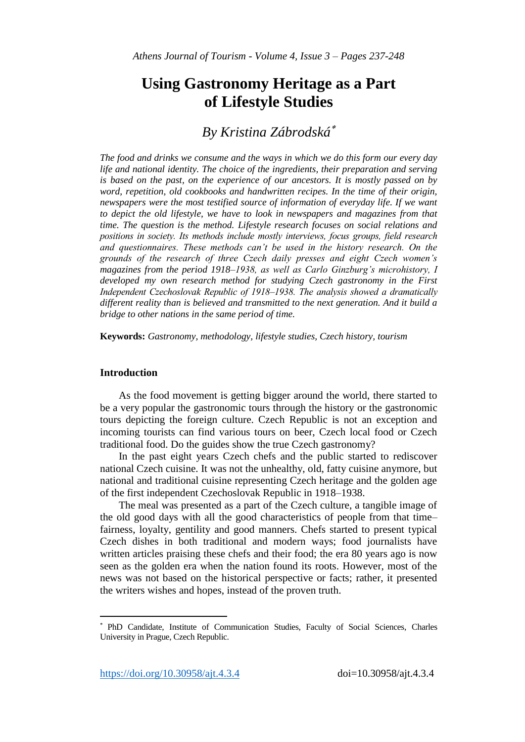# **Using Gastronomy Heritage as a Part of Lifestyle Studies**

# *By Kristina Zábrodská*

*The food and drinks we consume and the ways in which we do this form our every day life and national identity. The choice of the ingredients, their preparation and serving is based on the past, on the experience of our ancestors. It is mostly passed on by word, repetition, old cookbooks and handwritten recipes. In the time of their origin, newspapers were the most testified source of information of everyday life. If we want* to depict the old lifestyle, we have to look in newspapers and magazines from that *time. The question is the method. Lifestyle research focuses on social relations and positions in society. Its methods include mostly interviews, focus groups, field research and questionnaires. These methods can't be used in the history research. On the grounds of the research of three Czech daily presses and eight Czech women's magazines from the period 1918–1938, as well as Carlo Ginzburg's microhistory, I developed my own research method for studying Czech gastronomy in the First Independent Czechoslovak Republic of 1918–1938. The analysis showed a dramatically different reality than is believed and transmitted to the next generation. And it build a bridge to other nations in the same period of time.*

**Keywords:** *Gastronomy, methodology, lifestyle studies, Czech history, tourism*

# **Introduction**

l

As the food movement is getting bigger around the world, there started to be a very popular the gastronomic tours through the history or the gastronomic tours depicting the foreign culture. Czech Republic is not an exception and incoming tourists can find various tours on beer, Czech local food or Czech traditional food. Do the guides show the true Czech gastronomy?

In the past eight years Czech chefs and the public started to rediscover national Czech cuisine. It was not the unhealthy, old, fatty cuisine anymore, but national and traditional cuisine representing Czech heritage and the golden age of the first independent Czechoslovak Republic in 1918–1938.

The meal was presented as a part of the Czech culture, a tangible image of the old good days with all the good characteristics of people from that time– fairness, loyalty, gentility and good manners. Chefs started to present typical Czech dishes in both traditional and modern ways; food journalists have written articles praising these chefs and their food; the era 80 years ago is now seen as the golden era when the nation found its roots. However, most of the news was not based on the historical perspective or facts; rather, it presented the writers wishes and hopes, instead of the proven truth.

PhD Candidate, Institute of Communication Studies, Faculty of Social Sciences, Charles University in Prague, Czech Republic.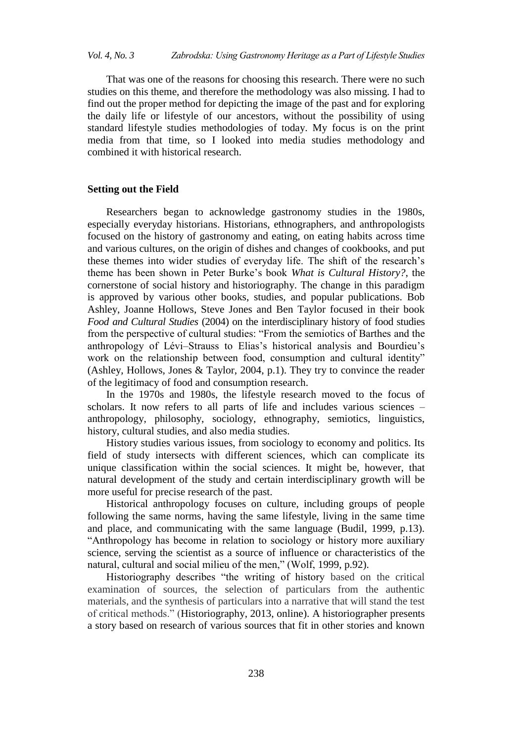That was one of the reasons for choosing this research. There were no such studies on this theme, and therefore the methodology was also missing. I had to find out the proper method for depicting the image of the past and for exploring the daily life or lifestyle of our ancestors, without the possibility of using standard lifestyle studies methodologies of today. My focus is on the print media from that time, so I looked into media studies methodology and combined it with historical research.

### **Setting out the Field**

Researchers began to acknowledge gastronomy studies in the 1980s, especially everyday historians. Historians, ethnographers, and [anthropologists](http://slovnik.seznam.cz/en-cz/?q=anthropologist) focused on the history of gastronomy and eating, on eating habits across time and various cultures, on the origin of dishes and changes of cookbooks, and put these themes into wider studies of everyday life. The shift of the research"s theme has been shown in Peter Burke"s book *What is Cultural History?*, the cornerstone of social history and historiography. The change in this paradigm is approved by various other books, studies, and popular publications. Bob Ashley, Joanne Hollows, Steve Jones and Ben Taylor focused in their book *Food and Cultural Studies* (2004) on the interdisciplinary history of food studies from the perspective of cultural studies: "From the semiotics of Barthes and the anthropology of Lévi–Strauss to Elias's historical analysis and Bourdieu's work on the relationship between food, consumption and cultural identity" (Ashley, Hollows, Jones & Taylor, 2004, p.1). They try to convince the reader of the legitimacy of food and consumption research.

In the 1970s and 1980s, the lifestyle research moved to the focus of scholars. It now refers to all parts of life and includes various sciences – anthropology, philosophy, sociology, ethnography, semiotics, linguistics, history, cultural studies, and also media studies.

History studies various issues, from sociology to economy and politics. Its field of study intersects with different sciences, which can complicate its unique classification within the social sciences. It might be, however, that natural development of the study and certain interdisciplinary growth will be more useful for precise research of the past.

Historical anthropology focuses on culture, including groups of people following the same norms, having the same lifestyle, living in the same time and place, and communicating with the same language (Budil, 1999, p.13). "Anthropology has become in relation to sociology or history more auxiliary science, serving the scientist as a source of influence or characteristics of the natural, cultural and social milieu of the men," (Wolf, 1999, p.92).

Historiography describes "the writing of history based on the critical examination of sources, the selection of particulars from the authentic materials, and the synthesis of particulars into a narrative that will stand the test of critical methods." (Historiography, 2013, online). A historiographer presents a story based on research of various sources that fit in other stories and known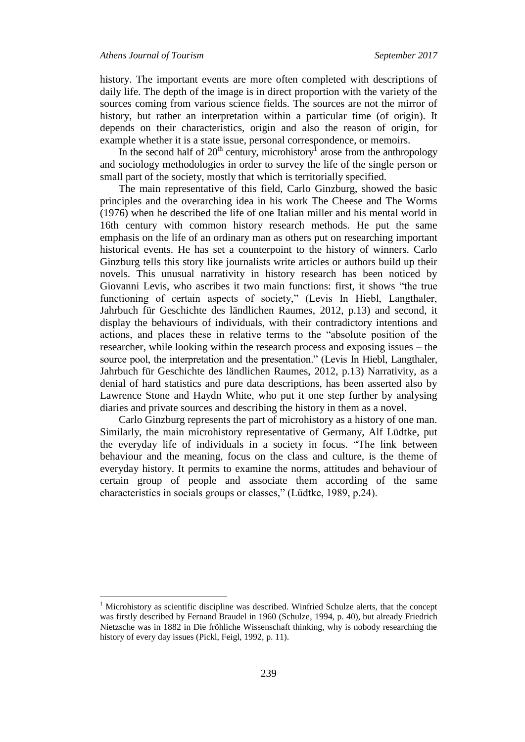$\overline{a}$ 

history. The important events are more often completed with descriptions of daily life. The depth of the image is in direct proportion with the variety of the sources coming from various science fields. The sources are not the mirror of history, but rather an interpretation within a particular time (of origin). It depends on their characteristics, origin and also the reason of origin, for example whether it is a state issue, personal correspondence, or memoirs.

In the second half of  $20<sup>th</sup>$  century, microhistory<sup>1</sup> arose from the anthropology and sociology methodologies in order to survey the life of the single person or small part of the society, mostly that which is territorially specified.

The main representative of this field, Carlo Ginzburg, showed the basic principles and the overarching idea in his work The Cheese and The Worms (1976) when he described the life of one Italian miller and his mental world in 16th century with common history research methods. He put the same emphasis on the life of an ordinary man as others put on researching important historical events. He has set a counterpoint to the history of winners. Carlo Ginzburg tells this story like journalists write articles or authors build up their novels. This unusual narrativity in history research has been noticed by Giovanni Levis, who ascribes it two main functions: first, it shows "the true functioning of certain aspects of society," (Levis In Hiebl, Langthaler, Jahrbuch für Geschichte des ländlichen Raumes, 2012, p.13) and second, it display the behaviours of individuals, with their contradictory intentions and actions, and places these in relative terms to the "absolute position of the researcher, while looking within the research process and exposing issues – the source pool, the interpretation and the presentation." (Levis In Hiebl, Langthaler, Jahrbuch für Geschichte des ländlichen Raumes, 2012, p.13) Narrativity, as a denial of hard statistics and pure data descriptions, has been asserted also by Lawrence Stone and Haydn White, who put it one step further by analysing diaries and private sources and describing the history in them as a novel.

Carlo Ginzburg represents the part of microhistory as a history of one man. Similarly, the main microhistory representative of Germany, Alf Lüdtke, put the everyday life of individuals in a society in focus. "The link between behaviour and the meaning, focus on the class and culture, is the theme of everyday history. It permits to examine the norms, attitudes and behaviour of certain group of people and associate them according of the same characteristics in socials groups or classes," (Lüdtke, 1989, p.24).

<sup>1</sup> Microhistory as scientific discipline was described. Winfried Schulze alerts, that the concept was firstly described by Fernand Braudel in 1960 (Schulze, 1994, p. 40), but already Friedrich Nietzsche was in 1882 in Die fröhliche Wissenschaft thinking, why is nobody researching the history of every day issues (Pickl, Feigl, 1992, p. 11).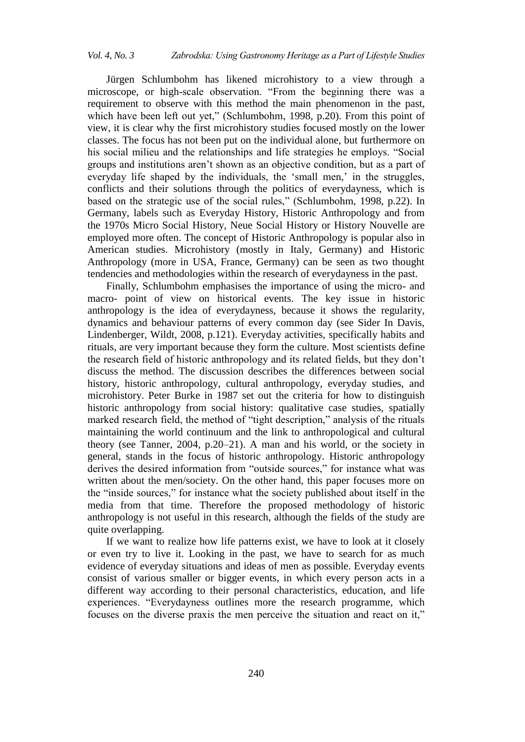Jürgen Schlumbohm has likened microhistory to a view through a microscope, or high-scale observation. "From the beginning there was a requirement to observe with this method the main phenomenon in the past, which have been left out yet," (Schlumbohm, 1998, p.20). From this point of view, it is clear why the first microhistory studies focused mostly on the lower classes. The focus has not been put on the individual alone, but furthermore on his social milieu and the relationships and life strategies he employs. "Social groups and institutions aren"t shown as an objective condition, but as a part of everyday life shaped by the individuals, the 'small men,' in the struggles, conflicts and their solutions through the politics of everydayness, which is based on the strategic use of the social rules," (Schlumbohm, 1998, p.22). In Germany, labels such as Everyday History, Historic Anthropology and from the 1970s Micro Social History, Neue Social History or History Nouvelle are employed more often. The concept of Historic Anthropology is popular also in American studies. Microhistory (mostly in Italy, Germany) and Historic Anthropology (more in USA, France, Germany) can be seen as two thought tendencies and methodologies within the research of everydayness in the past.

Finally, Schlumbohm emphasises the importance of using the micro- and macro- point of view on historical events. The key issue in historic anthropology is the idea of everydayness, because it shows the regularity, dynamics and behaviour patterns of every common day (see Sider In Davis, Lindenberger, Wildt, 2008, p.121). Everyday activities, specifically habits and rituals, are very important because they form the culture. Most scientists define the research field of historic anthropology and its related fields, but they don"t discuss the method. The discussion describes the differences between social history, historic anthropology, cultural anthropology, everyday studies, and microhistory. Peter Burke in 1987 set out the criteria for how to distinguish historic anthropology from social history: qualitative case studies, spatially marked research field, the method of "tight description," analysis of the rituals maintaining the world continuum and the link to anthropological and cultural theory (see Tanner, 2004, p.20–21). A man and his world, or the society in general, stands in the focus of historic anthropology. Historic anthropology derives the desired information from "outside sources," for instance what was written about the men/society. On the other hand, this paper focuses more on the "inside sources," for instance what the society published about itself in the media from that time. Therefore the proposed methodology of historic anthropology is not useful in this research, although the fields of the study are quite overlapping.

If we want to realize how life patterns exist, we have to look at it closely or even try to live it. Looking in the past, we have to search for as much evidence of everyday situations and ideas of men as possible. Everyday events consist of various smaller or bigger events, in which every person acts in a different way according to their personal characteristics, education, and life experiences. "Everydayness outlines more the research programme, which focuses on the diverse praxis the men perceive the situation and react on it,"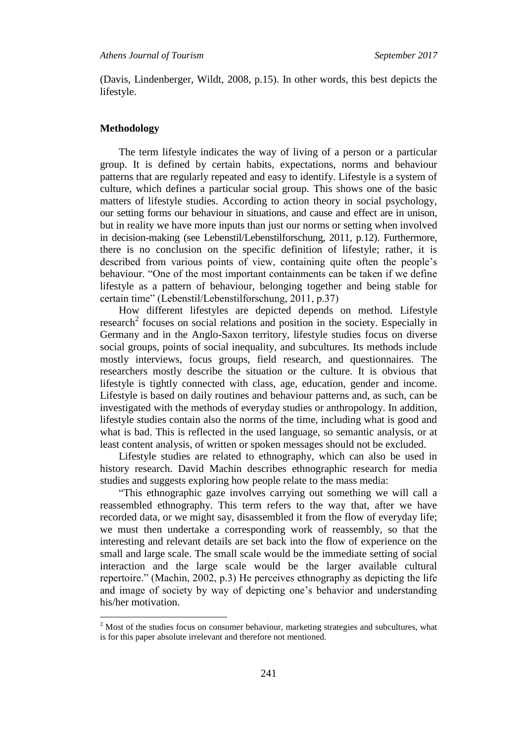(Davis, Lindenberger, Wildt, 2008, p.15). In other words, this best depicts the lifestyle.

#### **Methodology**

l

The term lifestyle indicates the way of living of a person or a particular group. It is defined by certain habits, expectations, norms and behaviour patterns that are regularly repeated and easy to identify. Lifestyle is a system of culture, which defines a particular social group. This shows one of the basic matters of lifestyle studies. According to action theory in social psychology, our setting forms our behaviour in situations, and cause and effect are in unison, but in reality we have more inputs than just our norms or setting when involved in decision-making (see Lebenstil/Lebenstilforschung, 2011, p.12). Furthermore, there is no conclusion on the specific definition of lifestyle; rather, it is described from various points of view, containing quite often the people"s behaviour. "One of the most important containments can be taken if we define lifestyle as a pattern of behaviour, belonging together and being stable for certain time" (Lebenstil/Lebenstilforschung, 2011, p.37)

How different lifestyles are depicted depends on method. Lifestyle research<sup>2</sup> focuses on social relations and position in the society. Especially in Germany and in the Anglo-Saxon territory, lifestyle studies focus on diverse social groups, points of social inequality, and subcultures. Its methods include mostly interviews, focus groups, field research, and questionnaires. The researchers mostly describe the situation or the culture. It is obvious that lifestyle is tightly connected with class, age, education, gender and income. Lifestyle is based on daily routines and behaviour patterns and, as such, can be investigated with the methods of everyday studies or anthropology. In addition, lifestyle studies contain also the norms of the time, including what is good and what is bad. This is reflected in the used language, so semantic analysis, or at least content analysis, of written or spoken messages should not be excluded.

Lifestyle studies are related to ethnography, which can also be used in history research. David Machin describes ethnographic research for media studies and suggests exploring how people relate to the mass media:

"This ethnographic gaze involves carrying out something we will call a reassembled ethnography. This term refers to the way that, after we have recorded data, or we might say, disassembled it from the flow of everyday life; we must then undertake a corresponding work of reassembly, so that the interesting and relevant details are set back into the flow of experience on the small and large scale. The small scale would be the immediate setting of social interaction and the large scale would be the larger available cultural repertoire." (Machin, 2002, p.3) He perceives ethnography as depicting the life and image of society by way of depicting one"s behavior and understanding his/her motivation.

 $2$  Most of the studies focus on consumer behaviour, marketing strategies and subcultures, what is for this paper absolute irrelevant and therefore not mentioned.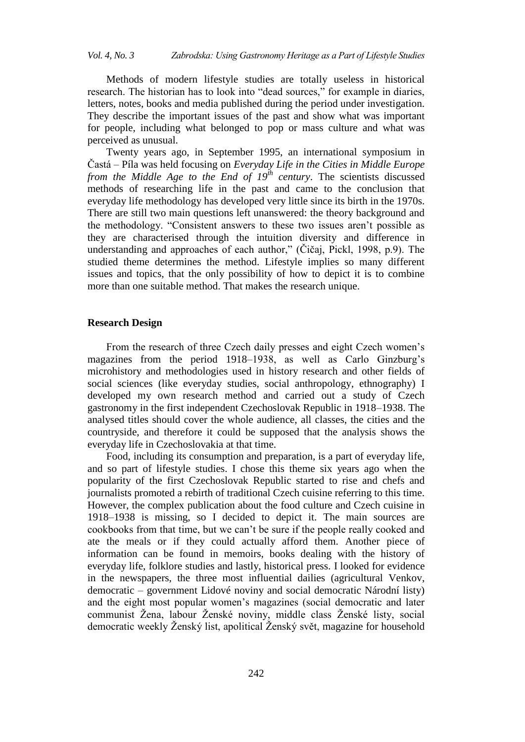Methods of modern lifestyle studies are totally useless in historical research. The historian has to look into "dead sources," for example in diaries, letters, notes, books and media published during the period under investigation. They describe the important issues of the past and show what was important for people, including what belonged to pop or mass culture and what was perceived as unusual.

Twenty years ago, in September 1995, an international symposium in Častá – Píla was held focusing on *Everyday Life in the Cities in Middle Europe from the Middle Age to the End of 19th century*. The scientists discussed methods of researching life in the past and came to the conclusion that everyday life methodology has developed very little since its birth in the 1970s. There are still two main questions left unanswered: the theory background and the methodology. "Consistent answers to these two issues aren"t possible as they are characterised through the intuition diversity and difference in understanding and approaches of each author," (Čičaj, Pickl, 1998, p.9). The studied theme determines the method. Lifestyle implies so many different issues and topics, that the only possibility of how to depict it is to combine more than one suitable method. That makes the research unique.

# **Research Design**

From the research of three Czech daily presses and eight Czech women"s magazines from the period 1918–1938, as well as Carlo Ginzburg's microhistory and methodologies used in history research and other fields of social sciences (like everyday studies, social anthropology, ethnography) I developed my own research method and carried out a study of Czech gastronomy in the first independent Czechoslovak Republic in 1918–1938. The analysed titles should cover the whole audience, all classes, the cities and the countryside, and therefore it could be supposed that the analysis shows the everyday life in Czechoslovakia at that time.

Food, including its consumption and preparation, is a part of everyday life, and so part of lifestyle studies. I chose this theme six years ago when the popularity of the first Czechoslovak Republic started to rise and chefs and journalists promoted a rebirth of traditional Czech cuisine referring to this time. However, the complex publication about the food culture and Czech cuisine in 1918–1938 is missing, so I decided to depict it. The main sources are cookbooks from that time, but we can"t be sure if the people really cooked and ate the meals or if they could actually afford them. Another piece of information can be found in memoirs, books dealing with the history of everyday life, folklore studies and lastly, historical press. I looked for evidence in the newspapers, the three most influential dailies (agricultural Venkov, democratic – government Lidové noviny and social democratic Národní listy) and the eight most popular women"s magazines (social democratic and later communist Žena, labour Ženské noviny, middle class Ženské listy, social democratic weekly Ženský list, apolitical Ženský svět, magazine for household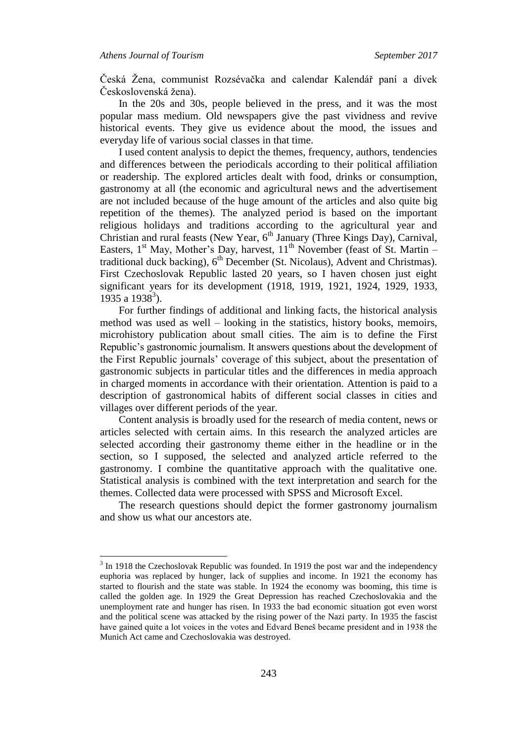$\overline{a}$ 

Česká Žena, communist Rozsévačka and calendar Kalendář paní a dívek Československá žena).

In the 20s and 30s, people believed in the press, and it was the most popular mass medium. Old newspapers give the past vividness and revive historical events. They give us evidence about the mood, the issues and everyday life of various social classes in that time.

I used content analysis to depict the themes, frequency, authors, tendencies and differences between the periodicals according to their political affiliation or readership. The explored articles dealt with food, drinks or consumption, gastronomy at all (the economic and agricultural news and the advertisement are not included because of the huge amount of the articles and also quite big repetition of the themes). The analyzed period is based on the important religious holidays and traditions according to the agricultural year and Christian and rural feasts (New Year, 6<sup>th</sup> January (Three Kings Day), Carnival, Easters, 1<sup>st</sup> May, Mother's Day, harvest, 11<sup>th</sup> November (feast of St. Martin – traditional duck backing),  $6<sup>th</sup>$  December (St. Nicolaus), Advent and Christmas). First Czechoslovak Republic lasted 20 years, so I haven chosen just eight significant years for its development (1918, 1919, 1921, 1924, 1929, 1933,  $1935$  a  $1938^3$ ).

For further findings of additional and linking facts, the historical analysis method was used as well – looking in the statistics, history books, memoirs, microhistory publication about small cities. The aim is to define the First Republic"s gastronomic journalism. It answers questions about the development of the First Republic journals" coverage of this subject, about the presentation of gastronomic subjects in particular titles and the differences in media approach in charged moments in accordance with their orientation. Attention is paid to a description of gastronomical habits of different social classes in cities and villages over different periods of the year.

Content analysis is broadly used for the research of media content, news or articles selected with certain aims. In this research the analyzed articles are selected according their gastronomy theme either in the headline or in the section, so I supposed, the selected and analyzed article referred to the gastronomy. I combine the quantitative approach with the qualitative one. Statistical analysis is combined with the text interpretation and search for the themes. Collected data were processed with SPSS and Microsoft Excel.

The research questions should depict the former gastronomy journalism and show us what our ancestors ate.

 $3$  In 1918 the Czechoslovak Republic was founded. In 1919 the post war and the independency euphoria was replaced by hunger, lack of supplies and income. In 1921 the economy has started to flourish and the state was stable. In 1924 the economy was booming, this time is called the golden age. In 1929 the Great Depression has reached Czechoslovakia and the unemployment rate and hunger has risen. In 1933 the bad economic situation got even worst and the political scene was attacked by the rising power of the Nazi party. In 1935 the fascist have gained quite a lot voices in the votes and Edvard Beneš became president and in 1938 the Munich Act came and Czechoslovakia was destroyed.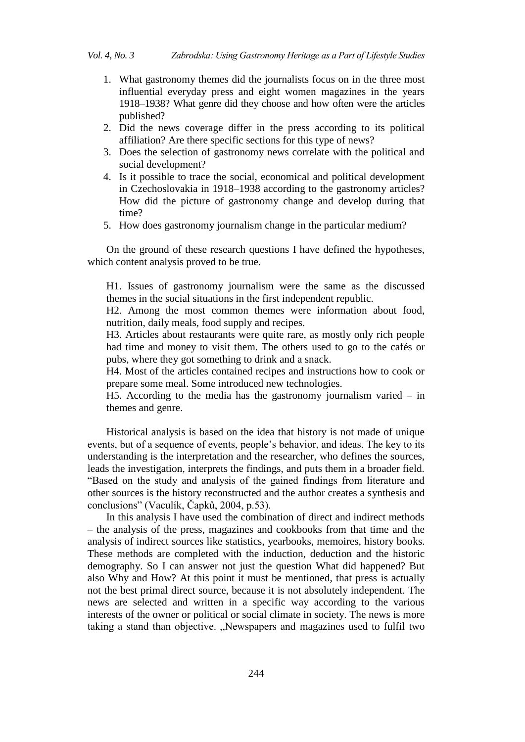- 1. What gastronomy themes did the journalists focus on in the three most influential everyday press and eight women magazines in the years 1918–1938? What genre did they choose and how often were the articles published?
- 2. Did the news coverage differ in the press according to its political affiliation? Are there specific sections for this type of news?
- 3. Does the selection of gastronomy news correlate with the political and social development?
- 4. Is it possible to trace the social, economical and political development in Czechoslovakia in 1918–1938 according to the gastronomy articles? How did the picture of gastronomy change and develop during that time?
- 5. How does gastronomy journalism change in the particular medium?

On the ground of these research questions I have defined the hypotheses, which content analysis proved to be true.

H1. Issues of gastronomy journalism were the same as the discussed themes in the social situations in the first independent republic.

H2. Among the most common themes were information about food, nutrition, daily meals, food supply and recipes.

H3. Articles about restaurants were quite rare, as mostly only rich people had time and money to visit them. The others used to go to the cafés or pubs, where they got something to drink and a snack.

H4. Most of the articles contained recipes and instructions how to cook or prepare some meal. Some introduced new technologies.

H5. According to the media has the gastronomy journalism varied – in themes and genre.

Historical analysis is based on the idea that history is not made of unique events, but of a sequence of events, people"s behavior, and ideas. The key to its understanding is the interpretation and the researcher, who defines the sources, leads the investigation, interprets the findings, and puts them in a broader field. "Based on the study and analysis of the gained findings from literature and other sources is the history reconstructed and the author creates a synthesis and conclusions" (Vaculík, Čapků, 2004, p.53).

In this analysis I have used the combination of direct and indirect methods – the analysis of the press, magazines and cookbooks from that time and the analysis of indirect sources like statistics, yearbooks, memoires, history books. These methods are completed with the induction, deduction and the historic demography. So I can answer not just the question What did happened? But also Why and How? At this point it must be mentioned, that press is actually not the best primal direct source, because it is not absolutely independent. The news are selected and written in a specific way according to the various interests of the owner or political or social climate in society. The news is more taking a stand than objective. "Newspapers and magazines used to fulfil two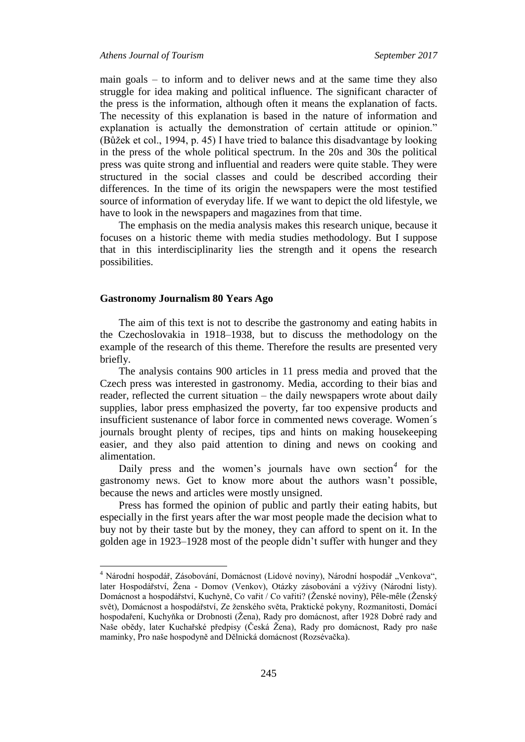main goals – to inform and to deliver news and at the same time they also struggle for idea making and political influence. The significant character of the press is the information, although often it means the explanation of facts. The necessity of this explanation is based in the nature of information and explanation is actually the demonstration of certain attitude or opinion." (Bůžek et col., 1994, p. 45) I have tried to balance this disadvantage by looking in the press of the whole political spectrum. In the 20s and 30s the political press was quite strong and influential and readers were quite stable. They were structured in the social classes and could be described according their differences. In the time of its origin the newspapers were the most testified source of information of everyday life. If we want to depict the old lifestyle, we have to look in the newspapers and magazines from that time.

The emphasis on the media analysis makes this research unique, because it focuses on a historic theme with media studies methodology. But I suppose that in this interdisciplinarity lies the strength and it opens the research possibilities.

#### **Gastronomy Journalism 80 Years Ago**

 $\overline{a}$ 

The aim of this text is not to describe the gastronomy and eating habits in the Czechoslovakia in 1918–1938, but to discuss the methodology on the example of the research of this theme. Therefore the results are presented very briefly.

The analysis contains 900 articles in 11 press media and proved that the Czech press was interested in gastronomy. Media, according to their bias and reader, reflected the current situation – the daily newspapers wrote about daily supplies, labor press emphasized the poverty, far too expensive products and insufficient sustenance of labor force in commented news coverage. Women´s journals brought plenty of recipes, tips and hints on making housekeeping easier, and they also paid attention to dining and news on cooking and alimentation.

Daily press and the women's journals have own section<sup>4</sup> for the gastronomy news. Get to know more about the authors wasn"t possible, because the news and articles were mostly unsigned.

Press has formed the opinion of public and partly their eating habits, but especially in the first years after the war most people made the decision what to buy not by their taste but by the money, they can afford to spent on it. In the golden age in 1923–1928 most of the people didn"t suffer with hunger and they

<sup>&</sup>lt;sup>4</sup> Národní hospodář, Zásobování, Domácnost (Lidové noviny), Národní hospodář "Venkova", later Hospodářství, Žena - Domov (Venkov), Otázky zásobování a výživy (Národní listy). Domácnost a hospodářství, Kuchyně, Co vařit / Co vařiti? (Ženské noviny), Pêle-mêle (Ženský svět), Domácnost a hospodářství, Ze ženského světa, Praktické pokyny, Rozmanitosti, Domácí hospodaření, Kuchyňka or Drobnosti (Žena), Rady pro domácnost, after 1928 Dobré rady and Naše obědy, later Kuchařské předpisy (Česká Žena), Rady pro domácnost, Rady pro naše maminky, Pro naše hospodyně and Dělnická domácnost (Rozsévačka).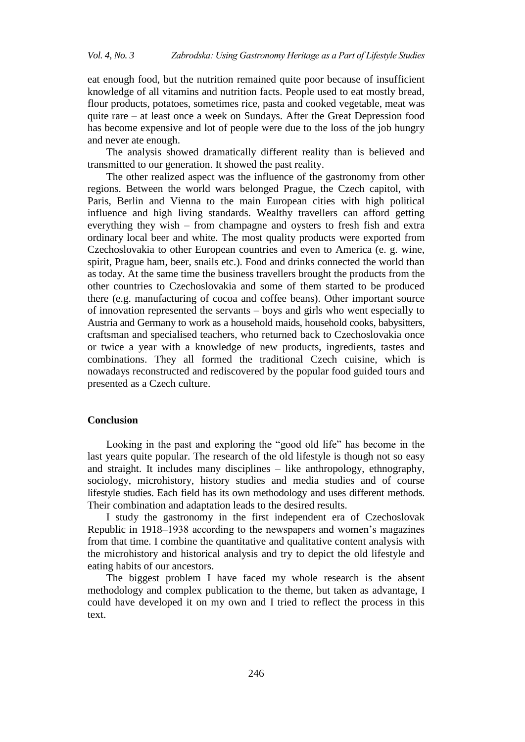eat enough food, but the nutrition remained quite poor because of insufficient knowledge of all vitamins and nutrition facts. People used to eat mostly bread, flour products, potatoes, sometimes rice, pasta and cooked vegetable, meat was quite rare – at least once a week on Sundays. After the Great Depression food has become expensive and lot of people were due to the loss of the job hungry and never ate enough.

The analysis showed dramatically different reality than is believed and transmitted to our generation. It showed the past reality.

The other realized aspect was the influence of the gastronomy from other regions. Between the world wars belonged Prague, the Czech capitol, with Paris, Berlin and Vienna to the main European cities with high political influence and high living standards. Wealthy travellers can afford getting everything they wish – from champagne and oysters to fresh fish and extra ordinary local beer and white. The most quality products were exported from Czechoslovakia to other European countries and even to America (e. g. wine, spirit, Prague ham, beer, snails etc.). Food and drinks connected the world than as today. At the same time the business travellers brought the products from the other countries to Czechoslovakia and some of them started to be produced there (e.g. manufacturing of cocoa and coffee beans). Other important source of innovation represented the servants – boys and girls who went especially to Austria and Germany to work as a household maids, household cooks, babysitters, craftsman and specialised teachers, who returned back to Czechoslovakia once or twice a year with a knowledge of new products, ingredients, tastes and combinations. They all formed the traditional Czech cuisine, which is nowadays reconstructed and rediscovered by the popular food guided tours and presented as a Czech culture.

# **Conclusion**

Looking in the past and exploring the "good old life" has become in the last years quite popular. The research of the old lifestyle is though not so easy and straight. It includes many disciplines – like anthropology, ethnography, sociology, microhistory, history studies and media studies and of course lifestyle studies. Each field has its own methodology and uses different methods. Their combination and adaptation leads to the desired results.

I study the gastronomy in the first independent era of Czechoslovak Republic in 1918–1938 according to the newspapers and women"s magazines from that time. I combine the quantitative and qualitative content analysis with the microhistory and historical analysis and try to depict the old lifestyle and eating habits of our ancestors.

The biggest problem I have faced my whole research is the absent methodology and complex publication to the theme, but taken as advantage, I could have developed it on my own and I tried to reflect the process in this text.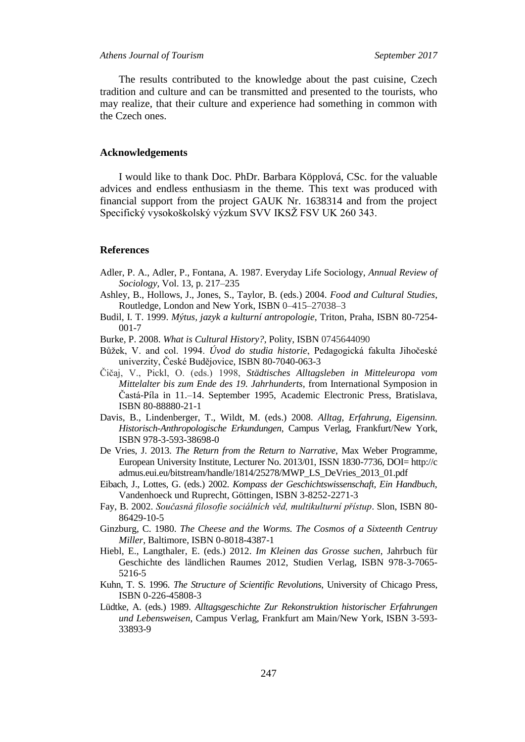The results contributed to the knowledge about the past cuisine, Czech tradition and culture and can be transmitted and presented to the tourists, who may realize, that their culture and experience had something in common with the Czech ones.

#### **Acknowledgements**

I would like to thank Doc. PhDr. Barbara Köpplová, CSc. for the valuable advices and endless enthusiasm in the theme. This text was produced with financial support from the project GAUK Nr. 1638314 and from the project Specifický vysokoškolský výzkum SVV IKSŽ FSV UK 260 343.

#### **References**

- Adler, P. A., Adler, P., Fontana, A. 1987. Everyday Life Sociology, *Annual Review of Sociology,* Vol. 13, p. 217–235
- Ashley, B., Hollows, J., Jones, S., Taylor, B. (eds.) 2004. *Food and Cultural Studies*, Routledge, London and New York, ISBN 0–415–27038–3
- Budil, I. T. 1999. *Mýtus, jazyk a kulturní antropologie*, Triton, Praha, ISBN 80-7254- 001-7
- Burke, P. 2008. *What is Cultural History?*, Polity, ISBN 0745644090
- Bůžek, V. and col. 1994. *Úvod do studia historie*, Pedagogická fakulta Jihočesk univerzity, České Budějovice, ISBN 80-7040-063-3
- Čičaj, V., Pickl, O. (eds.) 1998, *Städtisches Alltagsleben in Mitteleuropa vom Mittelalter bis zum Ende des 19. Jahrhunderts,* from International Symposion in Častá-Píla in 11.–14. September 1995, Academic Electronic Press, Bratislava, ISBN 80-88880-21-1
- Davis, B., Lindenberger, T., Wildt, M. (eds.) 2008. *Alltag, Erfahrung, Eigensinn. Historisch-Anthropologische Erkundungen*, Campus Verlag, Frankfurt/New York, ISBN 978-3-593-38698-0
- De Vries, J. 2013. *The Return from the Return to Narrative*, Max Weber Programme, European University Institute, Lecturer No. 2013/01, ISSN 1830-7736, DOI= http://c admus.eui.eu/bitstream/handle/1814/25278/MWP\_LS\_DeVries\_2013\_01.pdf
- Eibach, J., Lottes, G. (eds.) 2002. *Kompass der Geschichtswissenschaft, Ein Handbuch*, Vandenhoeck und Ruprecht, Göttingen, ISBN 3-8252-2271-3
- Fay, B. 2002. *Současná filosofie sociálních věd, multikulturní přístup*. Slon, ISBN 80- 86429-10-5
- Ginzburg, C. 1980. *The Cheese and the Worms. The Cosmos of a Sixteenth Centruy Miller*, Baltimore, ISBN [0-8018-4387-1](https://en.wikipedia.org/wiki/Special:BookSources/0-8018-4387-1)
- Hiebl, E., Langthaler, E. (eds.) 2012. *Im Kleinen das Grosse suchen*, Jahrbuch für Geschichte des ländlichen Raumes 2012, Studien Verlag, ISBN 978-3-7065- 5216-5
- Kuhn, T. S. 1996. *The Structure of Scientific Revolutions*, University of Chicago Press, ISBN 0-226-45808-3
- Lüdtke, A. (eds.) 1989. *Alltagsgeschichte Zur Rekonstruktion historischer Erfahrungen und Lebensweisen*, Campus Verlag, Frankfurt am Main/New York, ISBN 3-593- 33893-9